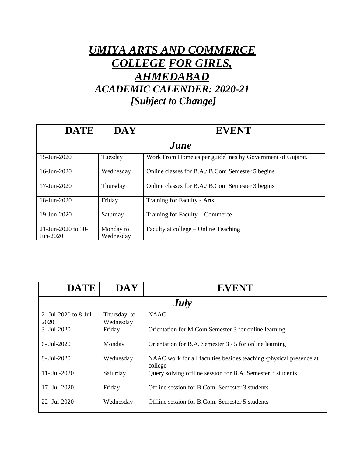## *UMIYA ARTS AND COMMERCE COLLEGE FOR GIRLS, AHMEDABAD ACADEMIC CALENDER: 2020-21 [Subject to Change]*

| <b>DATE</b>                      | <b>DAY</b>             | <b>EVENT</b>                                               |  |
|----------------------------------|------------------------|------------------------------------------------------------|--|
| June                             |                        |                                                            |  |
| $15$ -Jun-2020                   | Tuesday                | Work From Home as per guidelines by Government of Gujarat. |  |
| $16$ -Jun-2020                   | Wednesday              | Online classes for B.A./ B.Com Semester 5 begins           |  |
| $17 - \text{Jun} - 2020$         | Thursday               | Online classes for B.A./ B.Com Semester 3 begins           |  |
| 18-Jun-2020                      | Friday                 | Training for Faculty - Arts                                |  |
| 19-Jun-2020                      | Saturday               | Training for Faculty $-$ Commerce                          |  |
| 21-Jun-2020 to 30-<br>$Jun-2020$ | Monday to<br>Wednesday | Faculty at college – Online Teaching                       |  |

| <b>DATE</b>                   | <b>DAY</b>               | <b>EVENT</b>                                                                  |
|-------------------------------|--------------------------|-------------------------------------------------------------------------------|
|                               |                          | <b>July</b>                                                                   |
| 2- Jul-2020 to 8-Jul-<br>2020 | Thursday to<br>Wednesday | <b>NAAC</b>                                                                   |
| $3 -$ Jul $-2020$             | Friday                   | Orientation for M.Com Semester 3 for online learning                          |
| $6 - \text{Jul} - 2020$       | Monday                   | Orientation for B.A. Semester $3/5$ for online learning                       |
| 8- Jul-2020                   | Wednesday                | NAAC work for all faculties besides teaching /physical presence at<br>college |
| $11 - \text{Jul} - 2020$      | Saturday                 | Query solving offline session for B.A. Semester 3 students                    |
| $17 - \text{Jul} - 2020$      | Friday                   | Offline session for B.Com. Semester 3 students                                |
| $22 - \text{Jul} - 2020$      | Wednesday                | Offline session for B.Com. Semester 5 students                                |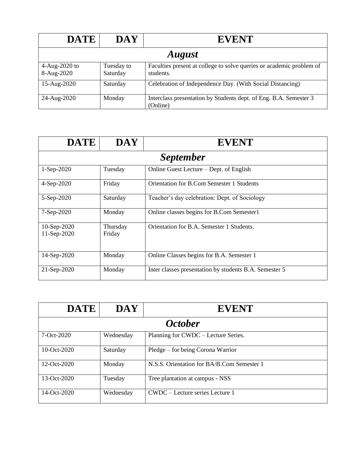| <b>DATE</b>                   | <b>DAY</b>             | <b>EVENT</b>                                                                      |  |
|-------------------------------|------------------------|-----------------------------------------------------------------------------------|--|
| <b>August</b>                 |                        |                                                                                   |  |
| $4-Aug-2020$ to<br>8-Aug-2020 | Tuesday to<br>Saturday | Faculties present at college to solve queries or academic problem of<br>students. |  |
| 15-Aug-2020                   | Saturday               | Celebration of Independence Day. (With Social Distancing)                         |  |
| 24-Aug-2020                   | Monday                 | Interclass presentation by Students dept. of Eng. B.A. Semester 3<br>(Online)     |  |

| <b>DATE</b>                | <b>DAY</b>         | <b>EVENT</b>                                           |
|----------------------------|--------------------|--------------------------------------------------------|
|                            |                    | <i>September</i>                                       |
| $1-Sep-2020$               | Tuesday            | Online Guest Lecture – Dept. of English                |
| 4-Sep-2020                 | Friday             | <b>Orientation for B.Com Semester 1 Students</b>       |
| 5-Sep-2020                 | Saturday           | Teacher's day celebration: Dept. of Sociology          |
| 7-Sep-2020                 | Monday             | Online classes begins for B.Com Semester1              |
| 10-Sep-2020<br>11-Sep-2020 | Thursday<br>Friday | Orientation for B.A. Semester 1 Students.              |
| 14-Sep-2020                | Monday             | Online Classes begins for B.A. Semester 1              |
| 21-Sep-2020                | Monday             | Inter classes presentation by students B.A. Semester 5 |

| <b>DATE</b>    | <b>DAY</b>            | <b>EVENT</b>                               |  |  |
|----------------|-----------------------|--------------------------------------------|--|--|
|                | <i><b>October</b></i> |                                            |  |  |
| $7 - Oct-2020$ | Wednesday             | Planning for CWDC – Lecture Series.        |  |  |
| 10-Oct- $2020$ | Saturday              | Pledge – for being Corona Warrior          |  |  |
| 12-Oct-2020    | Monday                | N.S.S. Orientation for BA/B.Com Semester 1 |  |  |
| 13-Oct-2020    | Tuesday               | Tree plantation at campus - NSS            |  |  |
| 14-Oct-2020    | Wednesday             | CWDC – Lecture series Lecture 1            |  |  |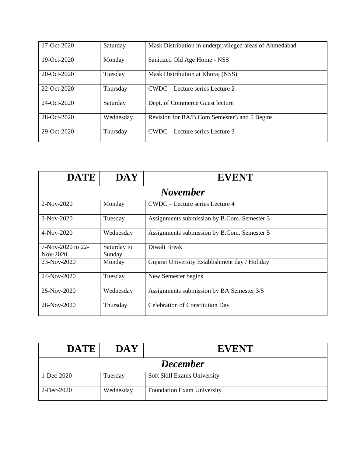| 17-Oct-2020    | Saturday  | Mask Distribution in underprivileged areas of Ahmedabad |
|----------------|-----------|---------------------------------------------------------|
| 19-Oct- $2020$ | Monday    | Sanitized Old Age Home - NSS                            |
| 20-Oct-2020    | Tuesday   | Mask Distribution at Khoraj (NSS)                       |
| 22-Oct-2020    | Thursday  | CWDC – Lecture series Lecture 2                         |
| 24-Oct-2020    | Saturday  | Dept. of Commerce Guest lecture                         |
| $28-Oct-2020$  | Wednesday | Revision for BA/B.Com Semester3 and 5 Begins            |
| 29-Oct-2020    | Thursday  | CWDC – Lecture series Lecture 3                         |

| <b>DATE</b>                       | <b>DAY</b>            | <b>EVENT</b>                                   |
|-----------------------------------|-----------------------|------------------------------------------------|
|                                   |                       | <b>November</b>                                |
| $2-Nov-2020$                      | Monday                | CWDC – Lecture series Lecture 4                |
| $3-Nov-2020$                      | Tuesday               | Assignments submission by B.Com. Semester 3    |
| $4-Nov-2020$                      | Wednesday             | Assignments submission by B.Com. Semester 5    |
| $7-Nov-2020$ to 22-<br>$Nov-2020$ | Saturday to<br>Sunday | Diwali Break                                   |
| $23-Nov-2020$                     | Monday                | Gujarat University Establishment day / Holiday |
| 24-Nov-2020                       | Tuesday               | New Semester begins                            |
| 25-Nov-2020                       | Wednesday             | Assignments submission by BA Semester 3/5      |
| 26-Nov-2020                       | Thursday              | <b>Celebration of Constitution Day</b>         |

| <b>DATE</b>     | DAY       | <b>EVENT</b>                      |
|-----------------|-----------|-----------------------------------|
| <b>December</b> |           |                                   |
| 1-Dec-2020      | Tuesday   | Soft Skill Exams University       |
| 2-Dec-2020      | Wednesday | <b>Foundation Exam University</b> |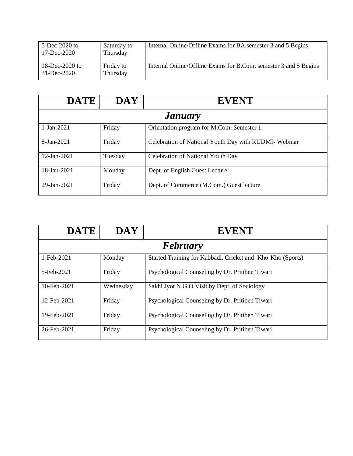| 5-Dec-2020 to<br>17-Dec-2020  | Saturday to<br>Thursday | Internal Online/Offline Exams for BA semester 3 and 5 Begins     |
|-------------------------------|-------------------------|------------------------------------------------------------------|
| 18-Dec-2020 to<br>31-Dec-2020 | Friday to<br>Thursday   | Internal Online/Offline Exams for B.Com. semester 3 and 5 Begins |

| <b>DATE</b>      | <b>DAY</b> | <b>EVENT</b>                                         |
|------------------|------------|------------------------------------------------------|
|                  |            | <b><i>January</i></b>                                |
| $1-Jan-2021$     | Friday     | Orientation program for M.Com. Semester 1            |
| $8 - Jan - 2021$ | Friday     | Celebration of National Youth Day with RUDMI-Webinar |
| $12$ -Jan-2021   | Tuesday    | <b>Celebration of National Youth Day</b>             |
| $18$ -Jan-2021   | Monday     | Dept. of English Guest Lecture                       |
| 29-Jan-2021      | Friday     | Dept. of Commerce (M.Com.) Guest lecture             |

| <b>DATE</b> | <b>DAY</b> | <b>EVENT</b>                                               |  |  |
|-------------|------------|------------------------------------------------------------|--|--|
|             | February   |                                                            |  |  |
| 1-Feb-2021  | Monday     | Started Training for Kabbadi, Cricket and Kho-Kho (Sports) |  |  |
| 5-Feb-2021  | Friday     | Psychological Counseling by Dr. Pritiben Tiwari            |  |  |
| 10-Feb-2021 | Wednesday  | Sakhi Jyot N.G.O Visit by Dept. of Sociology               |  |  |
| 12-Feb-2021 | Friday     | Psychological Counseling by Dr. Pritiben Tiwari            |  |  |
| 19-Feb-2021 | Friday     | Psychological Counseling by Dr. Pritiben Tiwari            |  |  |
| 26-Feb-2021 | Friday     | Psychological Counseling by Dr. Pritiben Tiwari            |  |  |